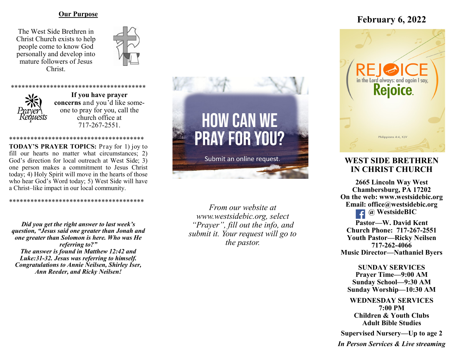### **Our Purpose**

The West Side Brethren in Christ Church exists to help people come to know God personally and develop into mature followers of Jesus Christ.





**If you have prayer concerns** and you'd like someone to pray for you, call the church office at 717-267-2551.

\*\*\*\*\*\*\*\*\*\*\*\*\*\*\*\*\*\*\*\*\*\*\*\*\*

\*\*\*\*\*\*\*\*\*\*\*\*\*\*\*\*\*\*\*\*\*\*\*\*\*\*\*\*\*\*\*\*\*\*\*\*\*\* **TODAY'S PRAYER TOPICS:** Pray for 1) joy to fill our hearts no matter what circumstances; 2) God's direction for local outreach at West Side; 3) one person makes a commitment to Jesus Christ today; 4) Holy Spirit will move in the hearts of those who hear God's Word today; 5) West Side will have a Christ–like impact in our local community.

\*\*\*\*\*\*\*\*\*\*\*\*\*\*\*\*\*\*\*\*\*\*\*\*\*\*\*\*\*\*\*\*\*\*\*\*\*\*

*Did you get the right answer to last week's question, "Jesus said one greater than Jonah and one greater than Solomon is here. Who was He referring to?" The answer is found in Matthew 12:42 and Luke:31-32. Jesus was referring to himself. Congratulations to Annie Neilsen, Shirley Iser, Ann Reeder, and Ricky Neilsen!*



*From our website at www.westsidebic.org, select "Prayer", fill out the info, and submit it. Your request will go to the pastor.*

# **February 6, 2022**



# **WEST SIDE BRETHREN IN CHRIST CHURCH**

**2665 Lincoln Way West Chambersburg, PA 17202 On the web: [www.westsidebic.org](http://www.westsidebic.org) Email: office@westsidebic.org @ WestsideBIC** 

**Pastor—W. David Kent Church Phone: 717-267-2551 Youth Pastor—Ricky Neilsen 717-262-4066 Music Director—Nathaniel Byers**

**SUNDAY SERVICES Prayer Time—9:00 AM Sunday School—9:30 AM Sunday Worship—10:30 AM**

**WEDNESDAY SERVICES 7:00 PM Children & Youth Clubs Adult Bible Studies**

**Supervised Nursery—Up to age 2**

*In Person Services & Live streaming*